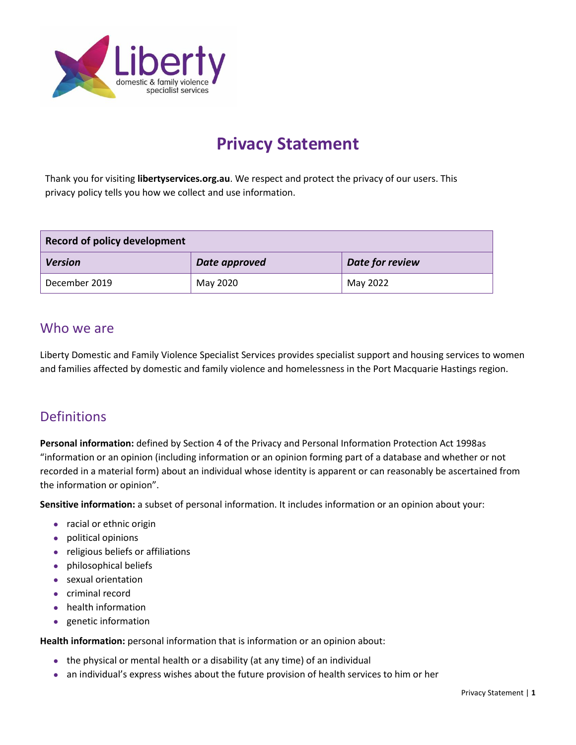

# **Privacy Statement**

Thank you for visiting **libertyservices.org.au**. We respect and protect the privacy of our users. This privacy policy tells you how we collect and use information.

| <b>Record of policy development</b> |               |                 |
|-------------------------------------|---------------|-----------------|
| <b>Version</b>                      | Date approved | Date for review |
| December 2019                       | May 2020      | May 2022        |

### Who we are

Liberty Domestic and Family Violence Specialist Services provides specialist support and housing services to women and families affected by domestic and family violence and homelessness in the Port Macquarie Hastings region.

# **Definitions**

**Personal information:** defined by Section 4 of the Privacy and Personal Information Protection Act 1998as "information or an opinion (including information or an opinion forming part of a database and whether or not recorded in a material form) about an individual whose identity is apparent or can reasonably be ascertained from the information or opinion".

**Sensitive information:** a subset of personal information. It includes information or an opinion about your:

- racial or ethnic origin
- political opinions
- religious beliefs or affiliations
- philosophical beliefs
- sexual orientation
- criminal record
- health information
- genetic information

**Health information:** personal information that is information or an opinion about:

- the physical or mental health or a disability (at any time) of an individual
- an individual's express wishes about the future provision of health services to him or her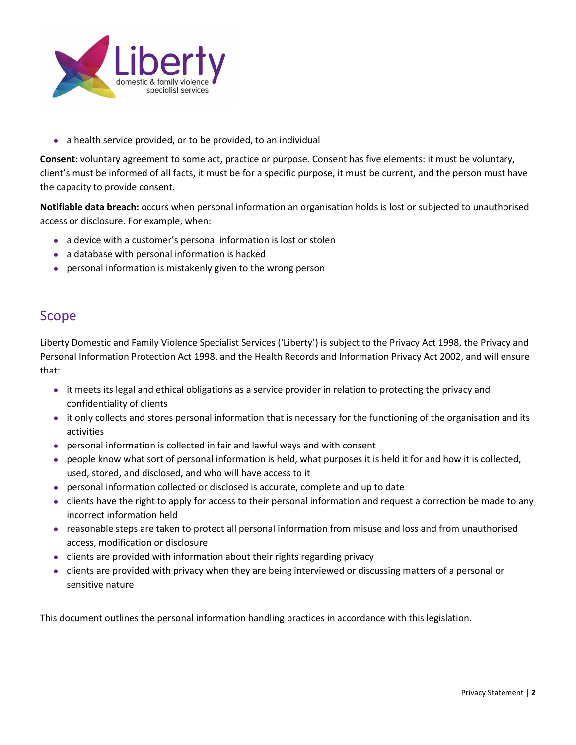

• a health service provided, or to be provided, to an individual

**Consent**: voluntary agreement to some act, practice or purpose. Consent has five elements: it must be voluntary, client's must be informed of all facts, it must be for a specific purpose, it must be current, and the person must have the capacity to provide consent.

**Notifiable data breach:** occurs when personal information an organisation holds is lost or subjected to unauthorised access or disclosure. For example, when:

- a device with a customer's personal information is lost or stolen
- a database with personal information is hacked
- personal information is mistakenly given to the wrong person

### Scope

Liberty Domestic and Family Violence Specialist Services ('Liberty') is subject to the Privacy Act 1998, the Privacy and Personal Information Protection Act 1998, and the Health Records and Information Privacy Act 2002, and will ensure that:

- it meets its legal and ethical obligations as a service provider in relation to protecting the privacy and confidentiality of clients
- it only collects and stores personal information that is necessary for the functioning of the organisation and its activities
- personal information is collected in fair and lawful ways and with consent
- people know what sort of personal information is held, what purposes it is held it for and how it is collected, used, stored, and disclosed, and who will have access to it
- personal information collected or disclosed is accurate, complete and up to date
- clients have the right to apply for access to their personal information and request a correction be made to any incorrect information held
- reasonable steps are taken to protect all personal information from misuse and loss and from unauthorised access, modification or disclosure
- clients are provided with information about their rights regarding privacy
- clients are provided with privacy when they are being interviewed or discussing matters of a personal or sensitive nature

This document outlines the personal information handling practices in accordance with this legislation.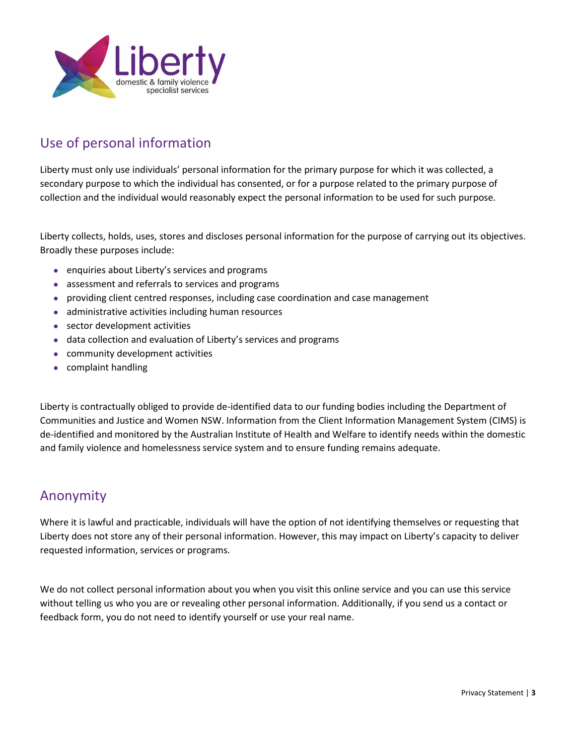

# Use of personal information

Liberty must only use individuals' personal information for the primary purpose for which it was collected, a secondary purpose to which the individual has consented, or for a purpose related to the primary purpose of collection and the individual would reasonably expect the personal information to be used for such purpose.

Liberty collects, holds, uses, stores and discloses personal information for the purpose of carrying out its objectives. Broadly these purposes include:

- enquiries about Liberty's services and programs
- assessment and referrals to services and programs
- providing client centred responses, including case coordination and case management
- administrative activities including human resources
- sector development activities
- data collection and evaluation of Liberty's services and programs
- community development activities
- complaint handling

Liberty is contractually obliged to provide de-identified data to our funding bodies including the Department of Communities and Justice and Women NSW. Information from the Client Information Management System (CIMS) is de-identified and monitored by the Australian Institute of Health and Welfare to identify needs within the domestic and family violence and homelessness service system and to ensure funding remains adequate.

### Anonymity

Where it is lawful and practicable, individuals will have the option of not identifying themselves or requesting that Liberty does not store any of their personal information. However, this may impact on Liberty's capacity to deliver requested information, services or programs.

We do not collect personal information about you when you visit this online service and you can use this service without telling us who you are or revealing other personal information. Additionally, if you send us a contact or feedback form, you do not need to identify yourself or use your real name.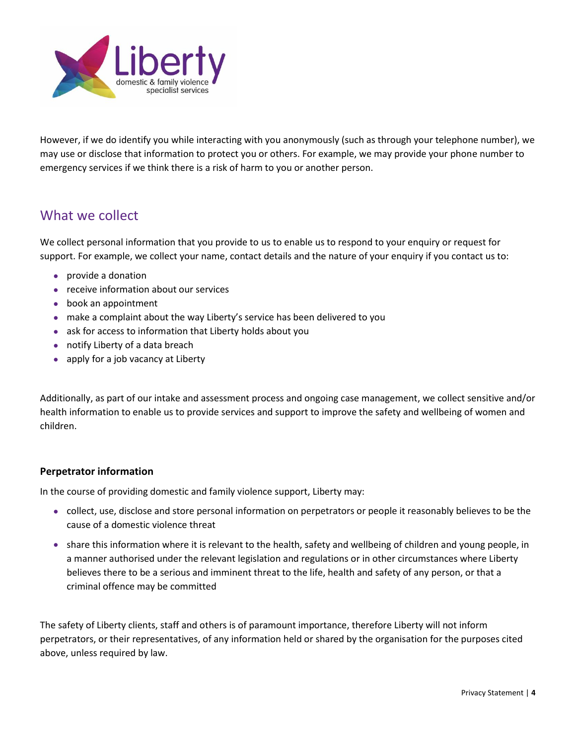

However, if we do identify you while interacting with you anonymously (such as through your telephone number), we may use or disclose that information to protect you or others. For example, we may provide your phone number to emergency services if we think there is a risk of harm to you or another person.

### What we collect

We collect personal information that you provide to us to enable us to respond to your enquiry or request for support. For example, we collect your name, contact details and the nature of your enquiry if you contact us to:

- provide a donation
- receive information about our services
- book an appointment
- make a complaint about the way Liberty's service has been delivered to you
- ask for access to information that Liberty holds about you
- notify Liberty of a data breach
- apply for a job vacancy at Liberty

Additionally, as part of our intake and assessment process and ongoing case management, we collect sensitive and/or health information to enable us to provide services and support to improve the safety and wellbeing of women and children.

#### **Perpetrator information**

In the course of providing domestic and family violence support, Liberty may:

- collect, use, disclose and store personal information on perpetrators or people it reasonably believes to be the cause of a domestic violence threat
- share this information where it is relevant to the health, safety and wellbeing of children and young people, in a manner authorised under the relevant legislation and regulations or in other circumstances where Liberty believes there to be a serious and imminent threat to the life, health and safety of any person, or that a criminal offence may be committed

The safety of Liberty clients, staff and others is of paramount importance, therefore Liberty will not inform perpetrators, or their representatives, of any information held or shared by the organisation for the purposes cited above, unless required by law.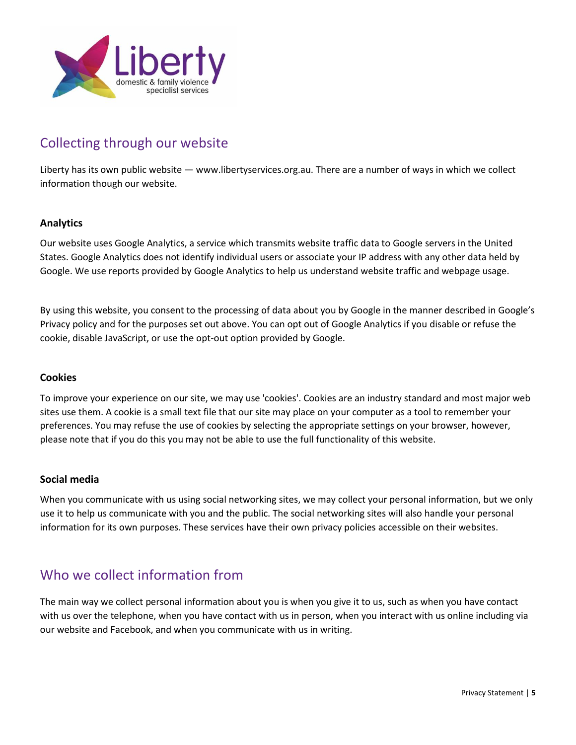

# Collecting through our website

Liberty has its own public website — www.libertyservices.org.au. There are a number of ways in which we collect information though our website.

#### **Analytics**

Our website uses Google Analytics, a service which transmits website traffic data to Google servers in the United States. Google Analytics does not identify individual users or associate your IP address with any other data held by Google. We use reports provided by Google Analytics to help us understand website traffic and webpage usage.

By using this website, you consent to the processing of data about you by Google in the manner described in [Google's](https://www.google.com/policies/privacy/) Privacy policy and for the purposes set out above. You can opt out of Google Analytics if you disable or refuse the cookie, disable JavaScript, or use the opt-out option provided by Google.

#### **Cookies**

To improve your experience on our site, we may use 'cookies'. Cookies are an industry standard and most major web sites use them. A cookie is a small text file that our site may place on your computer as a tool to remember your preferences. You may refuse the use of cookies by selecting the appropriate settings on your browser, however, please note that if you do this you may not be able to use the full functionality of this website.

#### **Social media**

When you communicate with us using social networking sites, we may collect your personal information, but we only use it to help us communicate with you and the public. The social networking sites will also handle your personal information for its own purposes. These services have their own privacy policies accessible on their websites.

### Who we collect information from

The main way we collect personal information about you is when you give it to us, such as when you have contact with us over the telephone, when you have contact with us in person, when you interact with us online including via our website and Facebook, and when you communicate with us in writing.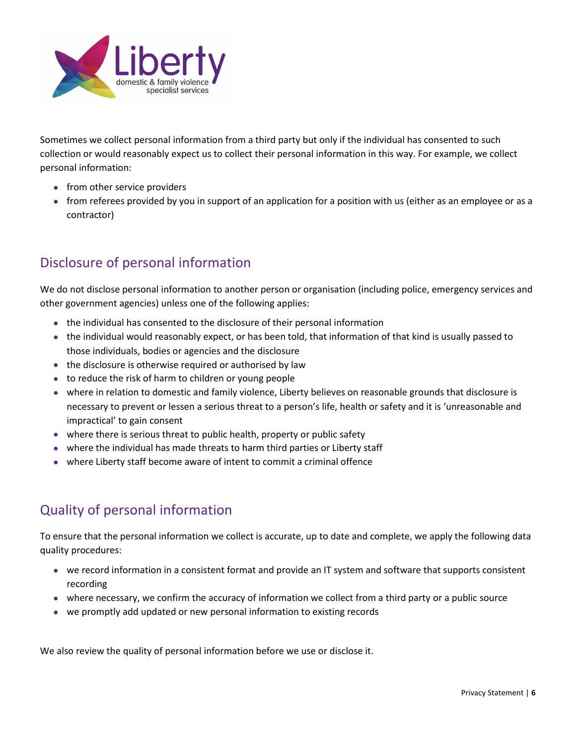

Sometimes we collect personal information from a third party but only if the individual has consented to such collection or would reasonably expect us to collect their personal information in this way. For example, we collect personal information:

- from other service providers
- from referees provided by you in support of an application for a position with us (either as an employee or as a contractor)

# Disclosure of personal information

We do not disclose personal information to another person or organisation (including police, emergency services and other government agencies) unless one of the following applies:

- the individual has consented to the disclosure of their personal information
- the individual would reasonably expect, or has been told, that information of that kind is usually passed to those individuals, bodies or agencies and the disclosure
- the disclosure is otherwise required or authorised by law
- to reduce the risk of harm to children or young people
- where in relation to domestic and family violence, Liberty believes on reasonable grounds that disclosure is necessary to prevent or lessen a serious threat to a person's life, health or safety and it is 'unreasonable and impractical' to gain consent
- where there is serious threat to public health, property or public safety
- where the individual has made threats to harm third parties or Liberty staff
- where Liberty staff become aware of intent to commit a criminal offence

# Quality of personal information

To ensure that the personal information we collect is accurate, up to date and complete, we apply the following data quality procedures:

- we record information in a consistent format and provide an IT system and software that supports consistent recording
- where necessary, we confirm the accuracy of information we collect from a third party or a public source
- we promptly add updated or new personal information to existing records

We also review the quality of personal information before we use or disclose it.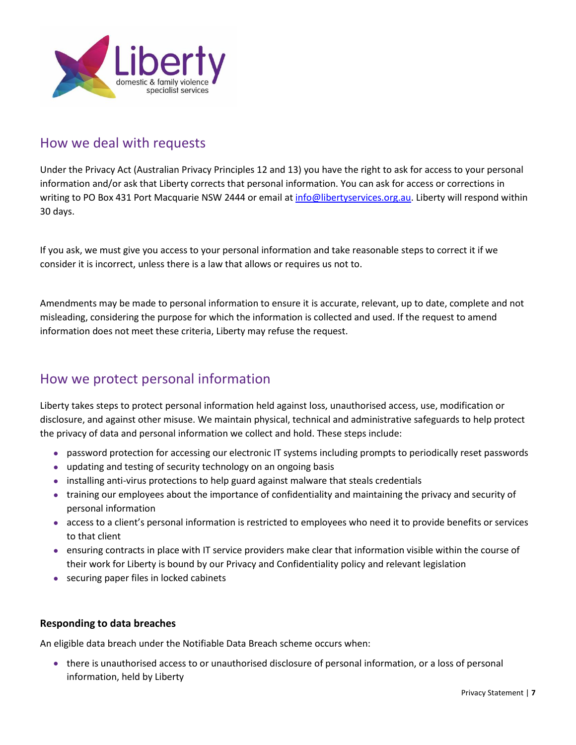

### How we deal with requests

Under the Privacy Act (Australian Privacy Principles 12 and 13) you have the right to ask for access to your personal information and/or ask that Liberty corrects that personal information. You can ask for access or corrections in writing to PO Box 431 Port Macquarie NSW 2444 or email at [info@libertyservices.org.au.](mailto:info@libertyservices.org.au) Liberty will respond within 30 days.

If you ask, we must give you access to your personal information and take reasonable steps to correct it if we consider it is incorrect, unless there is a law that allows or requires us not to.

Amendments may be made to personal information to ensure it is accurate, relevant, up to date, complete and not misleading, considering the purpose for which the information is collected and used. If the request to amend information does not meet these criteria, Liberty may refuse the request.

# How we protect personal information

Liberty takes steps to protect personal information held against loss, unauthorised access, use, modification or disclosure, and against other misuse. We maintain physical, technical and administrative safeguards to help protect the privacy of data and personal information we collect and hold. These steps include:

- password protection for accessing our electronic IT systems including prompts to periodically reset passwords
- updating and testing of security technology on an ongoing basis
- installing anti-virus protections to help guard against malware that steals credentials
- training our employees about the importance of confidentiality and maintaining the privacy and security of personal information
- access to a client's personal information is restricted to employees who need it to provide benefits or services to that client
- ensuring contracts in place with IT service providers make clear that information visible within the course of their work for Liberty is bound by our Privacy and Confidentiality policy and relevant legislation
- securing paper files in locked cabinets

#### **Responding to data breaches**

An eligible data breach under the Notifiable Data Breach scheme occurs when:

• there is unauthorised access to or unauthorised disclosure of personal information, or a loss of personal information, held by Liberty